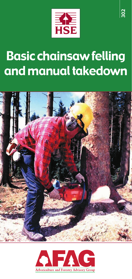

# Basic chainsaw felling and manual takedown



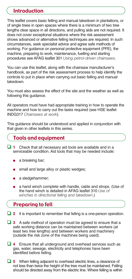# Introduction

This leaflet covers basic felling and manual takedown in plantations, or of single trees in open spaces where there is a minimum of two tree lengths clear space in all directions, and pulling aids are not required. It does not cover exceptional situations where the risk assessment shows advanced or alternative felling techniques are required. In such circumstances, seek specialist advice and agree safe methods of working. For guidance on personal protective equipment (PPE), the machine, preparing to work, maintenance, fuelling and starting procedures see AFAG leaflet 301 *Using petrol-driven chainsaws*.

You can use this leaflet, along with the chainsaw manufacturer's handbook, as part of the risk assessment process to help identify the controls to put in place when carrying out basic felling and manual takedown.

You must also assess the effect of the site and the weather as well as following this guidance.

All operators must have had appropriate training in how to operate the machine and how to carry out the tasks required (see HSE leaflet INDG317 *Chainsaws at work*).

This guidance should be understood and applied in conjunction with that given in other leaflets in this series.

# Tools and equipment

- ❏ **<sup>1</sup>** Check that all necessary aid tools are available and in a serviceable condition. Aid tools that may be needed include:
	- a breaking bar;
	- small and large alloy or plastic wedges;
	- a sledgehammer;
	- a hand winch complete with handle, cable and strops. (Use of the hand winch is detailed in AFAG leaflet 310 *Use of winches in directional felling and takedown*.)

### Preparing to fell

- ❏ **<sup>2</sup>** It is important to remember that felling is a one-person operation.
- ❏ **<sup>3</sup>** <sup>A</sup> safe method of operation must be agreed to ensure that a safe working distance can be maintained between workers (at least two tree lengths) and between workers and machinery (outside the risk zone of the machines being used).
- ❏ **<sup>4</sup>** Ensure that all underground and overhead services such as gas, water, sewage, electricity and telephones have been identified before felling.
- ❏ **<sup>5</sup>** When felling adjacent to overhead electric lines, a clearance of not less than twice the height of the tree must be maintained. Felling should be directed away from the electric line. Where felling is within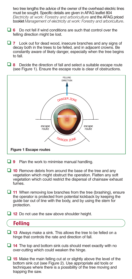two tree lengths the advice of the owner of the overhead electric lines must be sought. Specific details are given in AFAG leaflet 804 *Electricity at work: Forestry and arboriculture* and the AFAG priced booklet *Management of electricity at work: Forestry and arboriculture*.

- ❏ **<sup>6</sup>** Do not fell if wind conditions are such that control over the felling direction might be lost.
- ❏ **<sup>7</sup>** Look out for dead wood, insecure branches and any signs of decay both in the trees to be felled, and in adjacent crowns. Be constantly aware of likely danger, especially when the tree begins to fall.
- ❏ **<sup>8</sup>** Decide the direction of fall and select a suitable escape route (see Figure 1). Ensure the escape route is clear of obstructions.



- ❏ **<sup>9</sup>** Plan the work to minimise manual handling.
- ❏ **<sup>10</sup>** Remove debris from around the base of the tree and any vegetation which might obstruct the operation. Flatten any soft vegetation which could restrict the dispersal of chainsaw exhaust fumes.
- ❏ **<sup>11</sup>** When removing low branches from the tree (brashing), ensure the operator is protected from potential kickback by keeping the guide bar out of line with the body, and by using the stem for protection.
- ❏ **<sup>12</sup>** Do not use the saw above shoulder height.

### Felling

- ❏ **<sup>13</sup>** Always make a sink. This allows the tree to be felled on a hinge that controls the rate and direction of fall.
- ❏ **<sup>14</sup>** The top and bottom sink cuts should meet exactly with no over-cutting which could weaken the hinge.
- ❏ **<sup>15</sup>** Make the main felling cut at or slightly above the level of the bottom sink cut (see Figure 2). Use appropriate aid tools or techniques where there is a possibility of the tree moving and trapping the saw.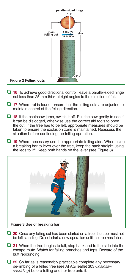

- ❏ **<sup>16</sup>** To achieve good directional control, leave a parallel-sided hinge not less than 25 mm thick at right angles to the direction of fall.
- ❏ **<sup>17</sup>** Where rot is found, ensure that the felling cuts are adjusted to maintain control of the felling direction.
- ❏ **<sup>18</sup>** If the chainsaw jams, switch it off. Pull the saw gently to see if it can be dislodged, otherwise use the correct aid tools to open the cut. If the tree has to be left, appropriate measures should be taken to ensure the exclusion zone is maintained. Reassess the situation before continuing the felling operation.
- ❏ **<sup>19</sup>** Where necessary use the appropriate felling aids. When using a breaking bar to lever over the tree, keep the back straight using the legs to lift. Keep both hands on the lever (see Figure 3).



- ❏ **<sup>20</sup>** Once any felling cut has been started on a tree, the tree must not be left standing. Do not start a new operation until the tree has fallen.
- ❏ **<sup>21</sup>** When the tree begins to fall, step back and to the side into the escape route. Watch for falling branches and tops. Beware of the butt rebounding.
- ❏ **<sup>22</sup>** So far as is reasonably practicable complete any necessary de-limbing of a felled tree (see AFAG leaflet 303 *Chainsaw snedding*) before felling another tree onto it.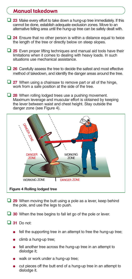#### Manual takedown

- ❏ **<sup>23</sup>** Make every effort to take down a hung-up tree immediately. If this cannot be done, establish adequate exclusion zones. Move to an alternative felling area until the hung-up tree can be safely dealt with.
- ❏ **<sup>24</sup>** Ensure that no other person is within a distance equal to twice the length of the tree or directly below on steep slopes.
- ❏ **<sup>25</sup>** Even proper lifting techniques and manual aid tools have their limitations when it comes to dealing with heavy loads. In such situations use mechanical assistance.
- ❏ **<sup>26</sup>** Carefully assess the tree to decide the safest and most effective method of takedown, and identify the danger areas around the tree.
- ❏ **<sup>27</sup>** When using a chainsaw to remove part or all of the hinge, work from a safe position at the side of the tree.
- ❏ **<sup>28</sup>** When rolling lodged trees use a pushing movement. Maximum leverage and muscular effort is obtained by keeping the lever between waist and chest height. Stay outside the danger zone (see Figure 4).



- ❏ **<sup>29</sup>** When moving the butt using a pole as a lever, keep behind the pole, and use the legs to push.
- ❏ **<sup>30</sup>** When the tree begins to fall let go of the pole or lever.
- ❏ **<sup>31</sup>** Do not:
	- fell the supporting tree in an attempt to free the hung-up tree;
	- climb a hung-up tree;
	- fell another tree across the hung-up tree in an attempt to dislodge it;
	- walk or work under a hung-up tree;
	- cut pieces off the butt end of a hung-up tree in an attempt to dislodge it.